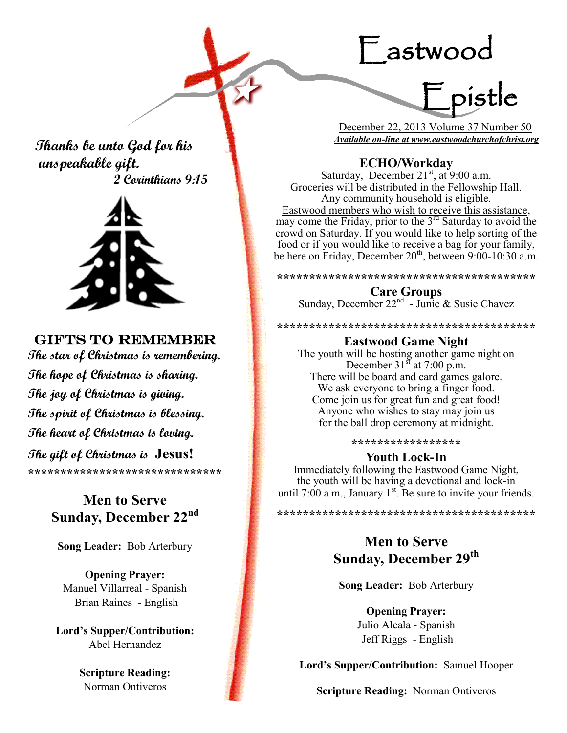# Eastwood



 December 22, 2013 Volume 37 Number 50 *Available on-line at www.eastwoodchurchofchrist.org*

 **Thanks be unto God for his unspeakable gift. 2 Corinthians 9:15**



# GIFTS TO REMEMBER

**The star of Christmas is remembering. The hope of Christmas is sharing. The joy of Christmas is giving. The spirit of Christmas is blessing. The heart of Christmas is loving. The gift of Christmas is Jesus! \*\*\*\*\*\*\*\*\*\*\*\*\*\*\*\*\*\*\*\*\*\*\*\*\*\*\*\*\*\***

# **Men to Serve Sunday, December 22nd**

**Song Leader:** Bob Arterbury

**Opening Prayer:** Manuel Villarreal - Spanish Brian Raines - English

**Lord's Supper/Contribution:**  Abel Hernandez

> **Scripture Reading:**  Norman Ontiveros

## **ECHO/Workday**

Saturday, December  $21<sup>st</sup>$ , at  $9:00$  a.m. Groceries will be distributed in the Fellowship Hall. Any community household is eligible. Eastwood members who wish to receive this assistance, may come the Friday, prior to the  $3<sup>rd</sup>$  Saturday to avoid the crowd on Saturday. If you would like to help sorting of the food or if you would like to receive a bag for your family, be here on Friday, December  $20<sup>th</sup>$ , between 9:00-10:30 a.m.

**\*\*\*\*\*\*\*\*\*\*\*\*\*\*\*\*\*\*\*\*\*\*\*\*\*\*\*\*\*\*\*\*\*\*\*\*\*\*\*\***

## **Care Groups**

Sunday, December  $22<sup>nd</sup>$  - Junie & Susie Chavez

**\*\*\*\*\*\*\*\*\*\*\*\*\*\*\*\*\*\*\*\*\*\*\*\*\*\*\*\*\*\*\*\*\*\*\*\*\*\*\*\***

### **Eastwood Game Night**

The youth will be hosting another game night on December  $31<sup>st</sup>$  at 7:00 p.m. There will be board and card games galore. We ask everyone to bring a finger food. Come join us for great fun and great food! Anyone who wishes to stay may join us for the ball drop ceremony at midnight.

**\*\*\*\*\*\*\*\*\*\*\*\*\*\*\*\*\***

## **Youth Lock-In**

Immediately following the Eastwood Game Night, the youth will be having a devotional and lock-in until 7:00 a.m., January  $1<sup>st</sup>$ . Be sure to invite your friends.

**\*\*\*\*\*\*\*\*\*\*\*\*\*\*\*\*\*\*\*\*\*\*\*\*\*\*\*\*\*\*\*\*\*\*\*\*\*\*\*\***

# **Men to Serve Sunday, December 29th**

**Song Leader:** Bob Arterbury

**Opening Prayer:** Julio Alcala - Spanish Jeff Riggs - English

**Lord's Supper/Contribution:** Samuel Hooper

**Scripture Reading:** Norman Ontiveros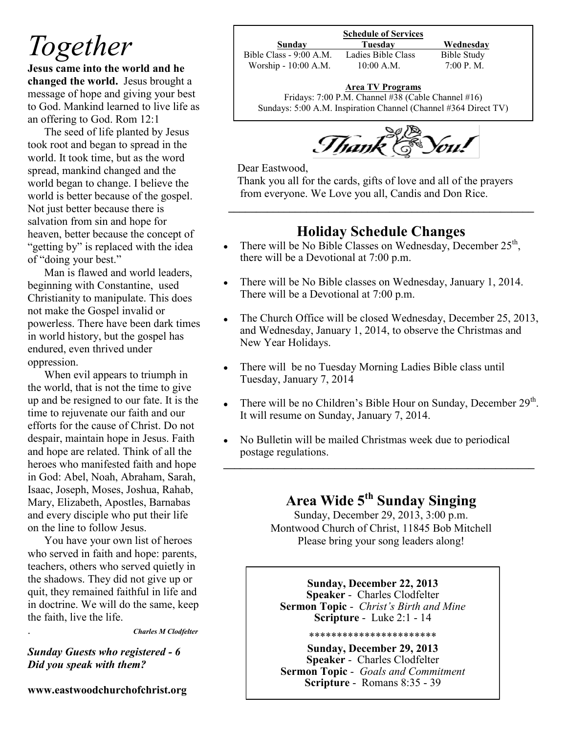# *Together*

**Jesus came into the world and he changed the world.** Jesus brought a message of hope and giving your best to God. Mankind learned to live life as an offering to God. Rom 12:1

The seed of life planted by Jesus took root and began to spread in the world. It took time, but as the word spread, mankind changed and the world began to change. I believe the world is better because of the gospel. Not just better because there is salvation from sin and hope for heaven, better because the concept of "getting by" is replaced with the idea of "doing your best."

Man is flawed and world leaders, beginning with Constantine, used Christianity to manipulate. This does not make the Gospel invalid or powerless. There have been dark times in world history, but the gospel has endured, even thrived under oppression.

When evil appears to triumph in the world, that is not the time to give up and be resigned to our fate. It is the time to rejuvenate our faith and our efforts for the cause of Christ. Do not despair, maintain hope in Jesus. Faith and hope are related. Think of all the heroes who manifested faith and hope in God: Abel, Noah, Abraham, Sarah, Isaac, Joseph, Moses, Joshua, Rahab, Mary, Elizabeth, Apostles, Barnabas and every disciple who put their life on the line to follow Jesus.

You have your own list of heroes who served in faith and hope: parents, teachers, others who served quietly in the shadows. They did not give up or quit, they remained faithful in life and in doctrine. We will do the same, keep the faith, live the life.

. *Charles M Clodfelter*

*Sunday Guests who registered - 6 Did you speak with them?*

**www.eastwoodchurchofchrist.org**

**Schedule of Services**

Bible Class - 9:00 A.M. Ladies Bible Class Bible Study Worship - 10:00 A.M. 10:00 A.M. 7:00 P.M.

**Sunday Tuesday Wednesday**

## **Area TV Programs**

Area TV Programs<br>Fridays: 7:00 P.M. Channel #38 (Cable Channel #16) Sundays: 5:00 A.M. Inspiration Channel (Channel #364 Direct TV)



Dear Eastwood,

 Thank you all for the cards, gifts of love and all of the prayers from everyone. We Love you all, Candis and Don Rice.

# **Holiday Schedule Changes**

**\_\_\_\_\_\_\_\_\_\_\_\_\_\_\_\_\_\_\_\_\_\_\_\_\_\_\_\_\_\_\_\_\_\_\_\_\_\_\_\_\_\_\_\_\_\_\_\_\_\_\_\_\_\_\_**

- There will be No Bible Classes on Wednesday, December  $25<sup>th</sup>$ , there will be a Devotional at 7:00 p.m.
- There will be No Bible classes on Wednesday, January 1, 2014.  $\bullet$ There will be a Devotional at 7:00 p.m.
- The Church Office will be closed Wednesday, December 25, 2013,  $\bullet$ and Wednesday, January 1, 2014, to observe the Christmas and New Year Holidays.
- $\bullet$ There will be no Tuesday Morning Ladies Bible class until Tuesday, January 7, 2014
- There will be no Children's Bible Hour on Sunday, December 29<sup>th</sup>.  $\bullet$ It will resume on Sunday, January 7, 2014.
- No Bulletin will be mailed Christmas week due to periodical postage regulations. **\_\_\_\_\_\_\_\_\_\_\_\_\_\_\_\_\_\_\_\_\_\_\_\_\_\_\_\_\_\_\_\_\_\_\_\_\_\_\_\_\_\_\_\_\_\_\_\_\_\_\_\_\_\_\_\_**

# **Area Wide 5th Sunday Singing**

Sunday, December 29, 2013, 3:00 p.m. Montwood Church of Christ, 11845 Bob Mitchell Please bring your song leaders along!

**Sunday, December 22, 2013 Speaker** - Charles Clodfelter **Sermon Topic** - *Christ's Birth and Mine* **Scripture** - Luke 2:1 - 14

#### \*\*\*\*\*\*\*\*\*\*\*\*\*\*\*\*\*\*\*\*\*\*\*

**Sunday, December 29, 2013 Speaker** - Charles Clodfelter **Sermon Topic** - *Goals and Commitment* **Scripture** - Romans 8:35 - 39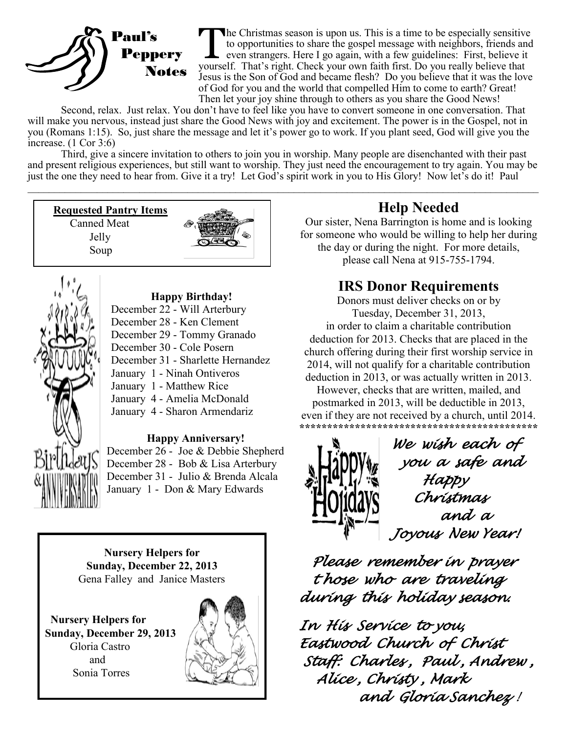

The Christmas season is upon us. This is a time to be especially sensitive to opportunities to share the gospel message with neighbors, friends an even strangers. Here I go again, with a few guidelines: First, believe it y he Christmas season is upon us. This is a time to be especially sensitive to opportunities to share the gospel message with neighbors, friends and even strangers. Here I go again, with a few guidelines: First, believe it Jesus is the Son of God and became flesh? Do you believe that it was the love of God for you and the world that compelled Him to come to earth? Great! Then let your joy shine through to others as you share the Good News!

Second, relax. Just relax. You don't have to feel like you have to convert someone in one conversation. That will make you nervous, instead just share the Good News with joy and excitement. The power is in the Gospel, not in you (Romans 1:15). So, just share the message and let it's power go to work. If you plant seed, God will give you the increase. (1 Cor 3:6)

Third, give a sincere invitation to others to join you in worship. Many people are disenchanted with their past and present religious experiences, but still want to worship. They just need the encouragement to try again. You may be just the one they need to hear from. Give it a try! Let God's spirit work in you to His Glory! Now let's do it! Paul  $\_$ 

**Requested Pantry Items** Canned Meat

> Jelly Soup





## **Happy Birthday!**

- December 22 Will Arterbury
- December 28 Ken Clement
- December 29 Tommy Granado
- December 30 Cole Posern
- December 31 Sharlette Hernandez
- January 1 Ninah Ontiveros
- January 1 Matthew Rice
- January 4 Amelia McDonald
- January 4 Sharon Armendariz

## **Happy Anniversary!**

December 26 - Joe & Debbie Shepherd December 28 - Bob & Lisa Arterbury December 31 - Julio & Brenda Alcala January 1 - Don & Mary Edwards

**Nursery Helpers for Sunday, December 22, 2013** Gena Falley and Janice Masters

 **Nursery Helpers for Sunday, December 29, 2013** Gloria Castro and Sonia Torres



# **Help Needed**

Our sister, Nena Barrington is home and is looking for someone who would be willing to help her during the day or during the night. For more details, please call Nena at 915-755-1794.

# **IRS Donor Requirements**

Donors must deliver checks on or by Tuesday, December 31, 2013, in order to claim a charitable contribution deduction for 2013. Checks that are placed in the church offering during their first worship service in 2014, will not qualify for a charitable contribution deduction in 2013, or was actually written in 2013.

However, checks that are written, mailed, and postmarked in 2013, will be deductible in 2013, even if they are not received by a church, until 2014. **\*\*\*\*\*\*\*\*\*\*\*\*\*\*\*\*\*\*\*\*\*\*\*\*\*\*\*\*\*\*\*\*\*\*\*\*\*\*\*\*\*\*\***



 *We wish each of you a safe and Happy Christmas and a Joyous New Year!* 

 *Please remember in prayer t hose who are traveling during this holiday season.* 

*In His Service to you, Eastwood Church of Christ Staff: Charles , Paul , Andrew , Alice , Christy , Mark and Gloria Sanchez !*